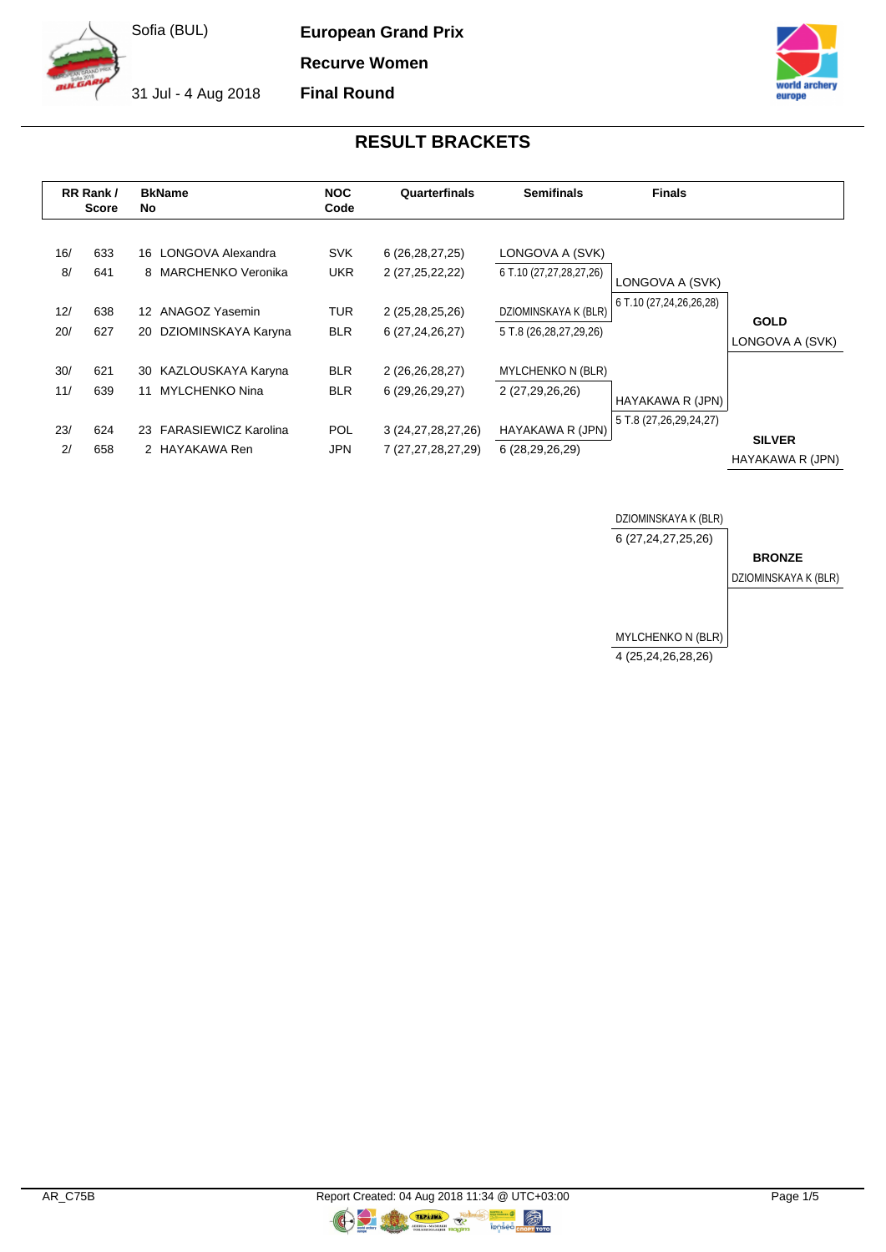**European Grand Prix**

**Recurve Women**

**Final Round**

31 Jul - 4 Aug 2018



# **RESULT BRACKETS**

|                         | RR Rank/<br><b>Score</b> | <b>BkName</b><br>No                                                                               | <b>NOC</b><br>Code                            | Quarterfinals                                                              | <b>Semifinals</b>                                                                            | <b>Finals</b>                              |                                   |
|-------------------------|--------------------------|---------------------------------------------------------------------------------------------------|-----------------------------------------------|----------------------------------------------------------------------------|----------------------------------------------------------------------------------------------|--------------------------------------------|-----------------------------------|
| 16/<br>8/<br>12/<br>20/ | 633<br>641<br>638<br>627 | LONGOVA Alexandra<br>16<br>8 MARCHENKO Veronika<br>12 ANAGOZ Yasemin<br>DZIOMINSKAYA Karyna<br>20 | <b>SVK</b><br><b>UKR</b><br>TUR<br><b>BLR</b> | 6(26, 28, 27, 25)<br>2 (27,25,22,22)<br>2 (25,28,25,26)<br>6 (27,24,26,27) | LONGOVA A (SVK)<br>6 T.10 (27,27,28,27,26)<br>DZIOMINSKAYA K (BLR)<br>5 T.8 (26,28,27,29,26) | LONGOVA A (SVK)<br>6 T.10 (27,24,26,26,28) | <b>GOLD</b>                       |
| 30/<br>11/              | 621<br>639               | KAZLOUSKAYA Karyna<br>30<br><b>MYLCHENKO Nina</b><br>11                                           | <b>BLR</b><br><b>BLR</b>                      | 2 (26,26,28,27)<br>6 (29,26,29,27)                                         | <b>MYLCHENKO N (BLR)</b><br>2 (27,29,26,26)                                                  | HAYAKAWA R (JPN)                           | LONGOVA A (SVK)                   |
| 23/<br>2/               | 624<br>658               | 23 FARASIEWICZ Karolina<br>2 HAYAKAWA Ren                                                         | <b>POL</b><br>JPN                             | 3 (24, 27, 28, 27, 26)<br>7 (27,27,28,27,29)                               | HAYAKAWA R (JPN)<br>6 (28,29,26,29)                                                          | 5 T.8 (27, 26, 29, 24, 27)                 | <b>SILVER</b><br>HAYAKAWA R (JPN) |



**OR** 

C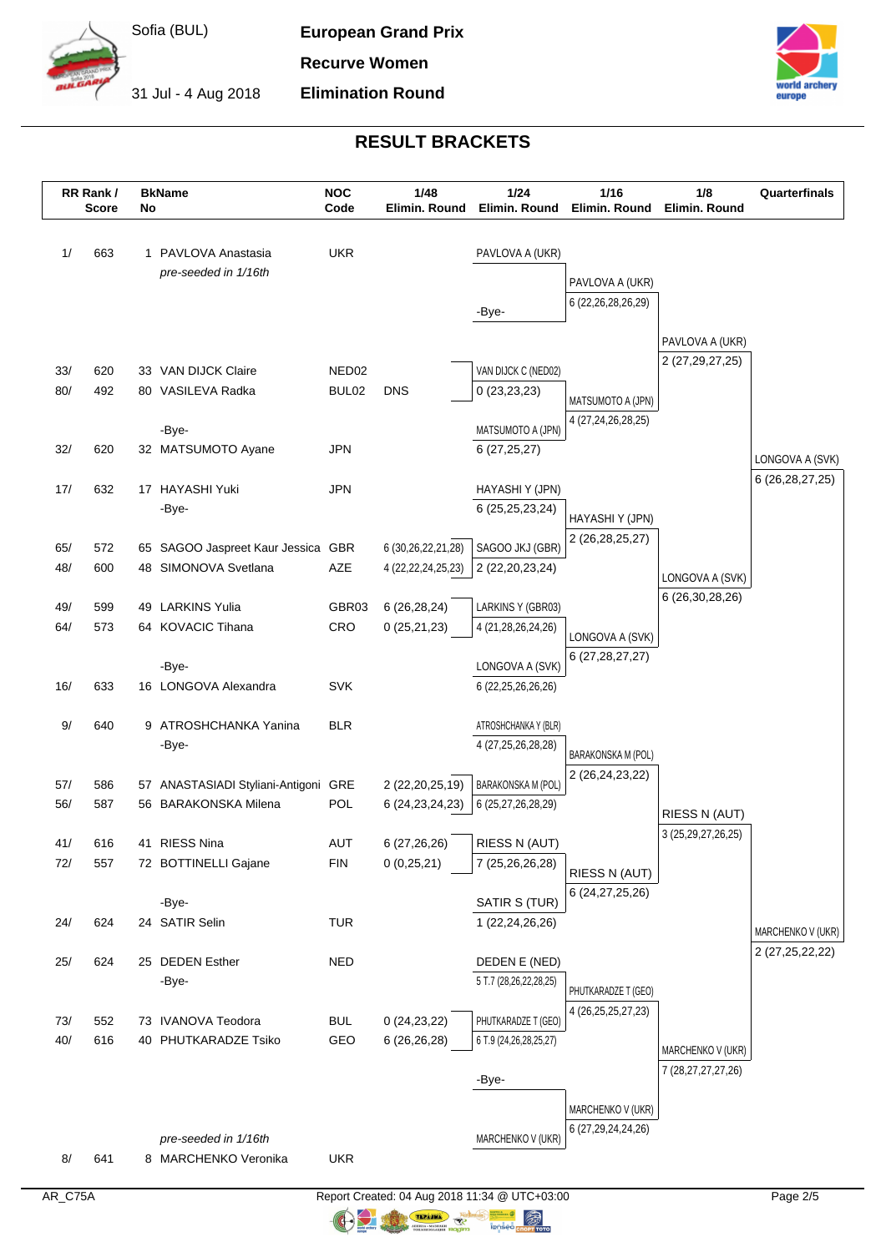

**European Grand Prix Recurve Women**

**Elimination Round**

31 Jul - 4 Aug 2018



## **RESULT BRACKETS**

|            | RR Rank/<br><b>Score</b> | No | <b>BkName</b>                         | <b>NOC</b><br>Code | 1/48<br>Elimin. Round      | 1/24<br>Elimin. Round            | $1/16$<br>Elimin. Round            | 1/8<br>Elimin, Round                        | Quarterfinals     |
|------------|--------------------------|----|---------------------------------------|--------------------|----------------------------|----------------------------------|------------------------------------|---------------------------------------------|-------------------|
|            |                          |    |                                       |                    |                            |                                  |                                    |                                             |                   |
| 1/         | 663                      |    | 1 PAVLOVA Anastasia                   | <b>UKR</b>         |                            | PAVLOVA A (UKR)                  |                                    |                                             |                   |
|            |                          |    | pre-seeded in 1/16th                  |                    |                            |                                  | PAVLOVA A (UKR)                    |                                             |                   |
|            |                          |    |                                       |                    |                            | -Bye-                            | 6 (22, 26, 28, 26, 29)             |                                             |                   |
|            |                          |    |                                       |                    |                            |                                  |                                    |                                             |                   |
|            |                          |    |                                       |                    |                            |                                  |                                    | PAVLOVA A (UKR)                             |                   |
| 33/        | 620                      |    | 33 VAN DIJCK Claire                   | NED <sub>02</sub>  |                            | VAN DIJCK C (NED02)              |                                    | 2 (27, 29, 27, 25)                          |                   |
| 80/        | 492                      |    | 80 VASILEVA Radka                     | BUL02              | <b>DNS</b>                 | 0(23,23,23)                      | MATSUMOTO A (JPN)                  |                                             |                   |
|            |                          |    |                                       |                    |                            |                                  | 4 (27,24,26,28,25)                 |                                             |                   |
|            |                          |    | -Bye-                                 |                    |                            | MATSUMOTO A (JPN)                |                                    |                                             |                   |
| 32/        | 620                      |    | 32 MATSUMOTO Ayane                    | <b>JPN</b>         |                            | 6(27, 25, 27)                    |                                    |                                             | LONGOVA A (SVK)   |
| 17/        | 632                      |    | 17 HAYASHI Yuki                       | JPN                |                            | HAYASHI Y (JPN)                  |                                    |                                             | 6 (26,28,27,25)   |
|            |                          |    | -Bye-                                 |                    |                            | 6 (25,25,23,24)                  |                                    |                                             |                   |
|            |                          |    |                                       |                    |                            |                                  | HAYASHI Y (JPN)<br>2 (26,28,25,27) |                                             |                   |
| 65/        | 572                      |    | 65 SAGOO Jaspreet Kaur Jessica GBR    |                    | 6 (30,26,22,21,28)         | SAGOO JKJ (GBR)                  |                                    |                                             |                   |
| 48/        | 600                      |    | 48 SIMONOVA Svetlana                  | AZE                | 4 (22, 22, 24, 25, 23)     | 2 (22, 20, 23, 24)               |                                    | LONGOVA A (SVK)                             |                   |
| 49/        | 599                      | 49 | <b>LARKINS Yulia</b>                  | GBR03              | 6(26, 28, 24)              | LARKINS Y (GBR03)                |                                    | 6 (26, 30, 28, 26)                          |                   |
| 64/        | 573                      |    | 64 KOVACIC Tihana                     | CRO                | 0(25,21,23)                | 4 (21,28,26,24,26)               |                                    |                                             |                   |
|            |                          |    |                                       |                    |                            |                                  | LONGOVA A (SVK)                    |                                             |                   |
|            |                          |    | -Bye-                                 |                    |                            | LONGOVA A (SVK)                  | 6 (27, 28, 27, 27)                 |                                             |                   |
| 16/        | 633                      |    | 16 LONGOVA Alexandra                  | <b>SVK</b>         |                            | 6 (22, 25, 26, 26, 26)           |                                    |                                             |                   |
| 9/         | 640                      |    | 9 ATROSHCHANKA Yanina                 | <b>BLR</b>         |                            | ATROSHCHANKA Y (BLR)             |                                    |                                             |                   |
|            |                          |    | -Bye-                                 |                    |                            | 4 (27, 25, 26, 28, 28)           |                                    |                                             |                   |
|            |                          |    |                                       |                    |                            |                                  | BARAKONSKA M (POL)                 |                                             |                   |
| 57/        | 586                      |    | 57 ANASTASIADI Styliani-Antigoni GRE  |                    | 2 (22, 20, 25, 19)         | <b>BARAKONSKA M (POL)</b>        | 2 (26, 24, 23, 22)                 |                                             |                   |
| 56/        | 587                      |    | 56 BARAKONSKA Milena                  | POL                | 6 (24, 23, 24, 23)         | 6 (25,27,26,28,29)               |                                    | RIESS N (AUT)                               |                   |
|            |                          |    |                                       |                    |                            |                                  |                                    | 3 (25, 29, 27, 26, 25)                      |                   |
| 41/<br>72/ | 616<br>557               |    | 41 RIESS Nina<br>72 BOTTINELLI Gajane | AUT<br><b>FIN</b>  | 6 (27,26,26)<br>0(0,25,21) | RIESS N (AUT)<br>7 (25,26,26,28) |                                    |                                             |                   |
|            |                          |    |                                       |                    |                            |                                  | RIESS N (AUT)                      |                                             |                   |
|            |                          |    | -Bye-                                 |                    |                            | SATIR S (TUR)                    | 6 (24, 27, 25, 26)                 |                                             |                   |
| 24/        | 624                      |    | 24 SATIR Selin                        | <b>TUR</b>         |                            | 1 (22,24,26,26)                  |                                    |                                             | MARCHENKO V (UKR) |
|            |                          |    |                                       |                    |                            |                                  |                                    |                                             | 2 (27,25,22,22)   |
| 25/        | 624                      |    | 25 DEDEN Esther                       | <b>NED</b>         |                            | DEDEN E (NED)                    |                                    |                                             |                   |
|            |                          |    | -Bye-                                 |                    |                            | 5 T.7 (28,26,22,28,25)           | PHUTKARADZE T (GEO)                |                                             |                   |
| 73/        | 552                      |    | 73 IVANOVA Teodora                    | <b>BUL</b>         | 0(24, 23, 22)              | PHUTKARADZE T (GEO)              | 4 (26, 25, 25, 27, 23)             |                                             |                   |
| 40/        | 616                      |    | 40 PHUTKARADZE Tsiko                  | GEO                | 6(26,26,28)                | 6 T.9 (24, 26, 28, 25, 27)       |                                    |                                             |                   |
|            |                          |    |                                       |                    |                            |                                  |                                    | MARCHENKO V (UKR)<br>7 (28, 27, 27, 27, 26) |                   |
|            |                          |    |                                       |                    |                            | -Bye-                            |                                    |                                             |                   |
|            |                          |    |                                       |                    |                            |                                  | MARCHENKO V (UKR)                  |                                             |                   |
|            |                          |    | pre-seeded in 1/16th                  |                    |                            | MARCHENKO V (UKR)                | 6 (27,29,24,24,26)                 |                                             |                   |
| 8/         | 641                      |    | 8 MARCHENKO Veronika                  | <b>UKR</b>         |                            |                                  |                                    |                                             |                   |
|            |                          |    |                                       |                    |                            |                                  |                                    |                                             |                   |

AR\_C75A Report Created: 04 Aug 2018 11:34 @ UTC+03:00 Page 2/5  $\bigcirc$ 

**ORIGINAL**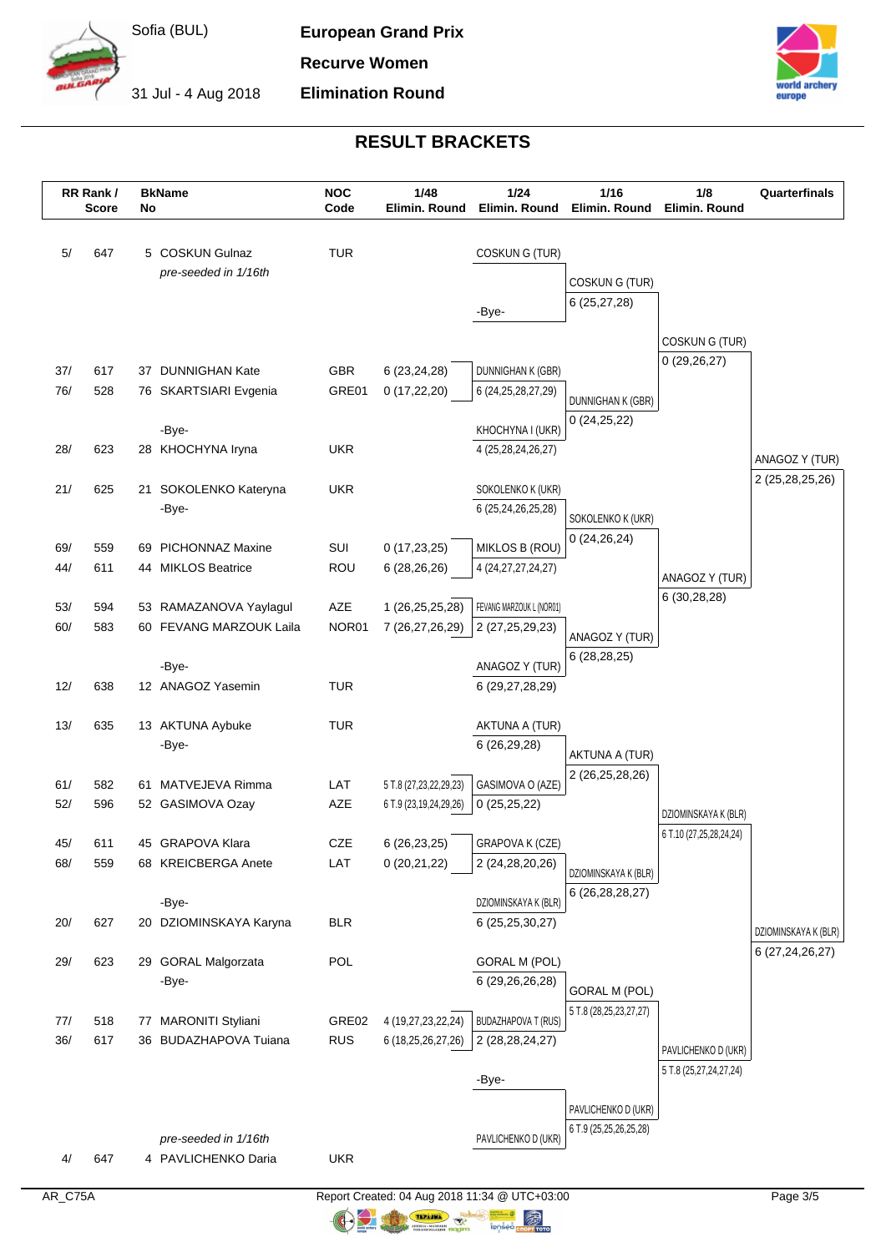

**European Grand Prix**

**Recurve Women Elimination Round**

31 Jul - 4 Aug 2018



## **RESULT BRACKETS**

|     | RR Rank/<br><b>Score</b> | No | <b>BkName</b>              | <b>NOC</b><br>Code | 1/48<br>Elimin. Round          | 1/24<br>Elimin. Round                    | $1/16$<br>Elimin. Round | 1/8<br>Elimin. Round                            | Quarterfinals                              |
|-----|--------------------------|----|----------------------------|--------------------|--------------------------------|------------------------------------------|-------------------------|-------------------------------------------------|--------------------------------------------|
| 5/  | 647                      |    | 5 COSKUN Gulnaz            | <b>TUR</b>         |                                | COSKUNG (TUR)                            |                         |                                                 |                                            |
|     |                          |    | pre-seeded in 1/16th       |                    |                                |                                          | COSKUNG (TUR)           |                                                 |                                            |
|     |                          |    |                            |                    |                                |                                          | 6(25, 27, 28)           |                                                 |                                            |
|     |                          |    |                            |                    |                                | -Bye-                                    |                         |                                                 |                                            |
|     |                          |    |                            |                    |                                |                                          |                         | COSKUNG (TUR)                                   |                                            |
| 37/ | 617                      |    | 37 DUNNIGHAN Kate          | GBR                | 6 (23,24,28)                   | DUNNIGHAN K (GBR)                        |                         | 0(29,26,27)                                     |                                            |
| 76/ | 528                      |    | 76 SKARTSIARI Evgenia      | GRE01              | 0(17, 22, 20)                  | 6 (24, 25, 28, 27, 29)                   | DUNNIGHAN K (GBR)       |                                                 |                                            |
|     |                          |    |                            |                    |                                |                                          | 0(24,25,22)             |                                                 |                                            |
| 28/ | 623                      |    | -Bye-<br>28 KHOCHYNA Iryna | <b>UKR</b>         |                                | KHOCHYNA I (UKR)<br>4 (25,28,24,26,27)   |                         |                                                 |                                            |
|     |                          |    |                            |                    |                                |                                          |                         |                                                 | ANAGOZ Y (TUR)                             |
| 21/ | 625                      |    | 21 SOKOLENKO Kateryna      | <b>UKR</b>         |                                | SOKOLENKO K (UKR)                        |                         |                                                 | 2 (25,28,25,26)                            |
|     |                          |    | -Bye-                      |                    |                                | 6 (25,24,26,25,28)                       | SOKOLENKO K (UKR)       |                                                 |                                            |
| 69/ | 559                      |    | 69 PICHONNAZ Maxine        | SUI                |                                |                                          | 0(24,26,24)             |                                                 |                                            |
| 44/ | 611                      |    | 44 MIKLOS Beatrice         | <b>ROU</b>         | 0(17, 23, 25)<br>6(28, 26, 26) | MIKLOS B (ROU)<br>4 (24, 27, 27, 24, 27) |                         |                                                 |                                            |
|     |                          |    |                            |                    |                                |                                          |                         | ANAGOZ Y (TUR)                                  |                                            |
| 53/ | 594                      |    | 53 RAMAZANOVA Yaylagul     | AZE                | 1 (26,25,25,28)                | FEVANG MARZOUK L (NOR01)                 |                         | 6(30, 28, 28)                                   |                                            |
| 60/ | 583                      |    | 60 FEVANG MARZOUK Laila    | NOR01              | 7 (26,27,26,29)                | 2 (27,25,29,23)                          | ANAGOZ Y (TUR)          |                                                 |                                            |
|     |                          |    | -Bye-                      |                    |                                | ANAGOZ Y (TUR)                           | 6(28, 28, 25)           |                                                 |                                            |
| 12/ | 638                      |    | 12 ANAGOZ Yasemin          | <b>TUR</b>         |                                | 6 (29,27,28,29)                          |                         |                                                 |                                            |
|     |                          |    |                            |                    |                                |                                          |                         |                                                 |                                            |
| 13/ | 635                      |    | 13 AKTUNA Aybuke           | <b>TUR</b>         |                                | AKTUNA A (TUR)                           |                         |                                                 |                                            |
|     |                          |    | -Bye-                      |                    |                                | 6 (26,29,28)                             | AKTUNA A (TUR)          |                                                 |                                            |
| 61/ | 582                      | 61 | MATVEJEVA Rimma            | LAT                | 5 T.8 (27,23,22,29,23)         | GASIMOVA O (AZE)                         | 2 (26,25,28,26)         |                                                 |                                            |
| 52/ | 596                      |    | 52 GASIMOVA Ozay           | AZE                | 6 T.9 (23,19,24,29,26)         | 0(25,25,22)                              |                         |                                                 |                                            |
|     |                          |    |                            |                    |                                |                                          |                         | DZIOMINSKAYA K (BLR)<br>6 T.10 (27,25,28,24,24) |                                            |
| 45/ | 611                      |    | 45 GRAPOVA Klara           | <b>CZE</b>         | 6 (26,23,25)                   | GRAPOVA K (CZE)                          |                         |                                                 |                                            |
| 68/ | 559                      |    | 68 KREICBERGA Anete        | LAT                | 0(20,21,22)                    | 2 (24,28,20,26)                          | DZIOMINSKAYA K (BLR)    |                                                 |                                            |
|     |                          |    | -Bye-                      |                    |                                | DZIOMINSKAYA K (BLR)                     | 6 (26, 28, 28, 27)      |                                                 |                                            |
| 20/ | 627                      |    | 20 DZIOMINSKAYA Karyna     | <b>BLR</b>         |                                | 6 (25,25,30,27)                          |                         |                                                 |                                            |
|     |                          |    |                            |                    |                                |                                          |                         |                                                 | DZIOMINSKAYA K (BLR)<br>6 (27, 24, 26, 27) |
| 29/ | 623                      |    | 29 GORAL Malgorzata        | POL                |                                | <b>GORAL M (POL)</b>                     |                         |                                                 |                                            |
|     |                          |    | -Bye-                      |                    |                                | 6 (29,26,26,28)                          | <b>GORAL M (POL)</b>    |                                                 |                                            |
| 77/ | 518                      |    | 77 MARONITI Styliani       | GRE02              | 4 (19,27,23,22,24)             | <b>BUDAZHAPOVA T (RUS)</b>               | 5 T.8 (28,25,23,27,27)  |                                                 |                                            |
| 36/ | 617                      |    | 36 BUDAZHAPOVA Tuiana      | <b>RUS</b>         | 6 (18,25,26,27,26)             | 2 (28, 28, 24, 27)                       |                         | PAVLICHENKO D (UKR)                             |                                            |
|     |                          |    |                            |                    |                                |                                          |                         | 5 T.8 (25,27,24,27,24)                          |                                            |
|     |                          |    |                            |                    |                                | -Bye-                                    |                         |                                                 |                                            |
|     |                          |    |                            |                    |                                |                                          | PAVLICHENKO D (UKR)     |                                                 |                                            |
|     |                          |    | pre-seeded in 1/16th       |                    |                                | PAVLICHENKO D (UKR)                      | 6 T.9 (25,25,26,25,28)  |                                                 |                                            |
| 4/  | 647                      |    | 4 PAVLICHENKO Daria        | <b>UKR</b>         |                                |                                          |                         |                                                 |                                            |
|     |                          |    |                            |                    |                                |                                          |                         |                                                 |                                            |

AR\_C75A Report Created: 04 Aug 2018 11:34 @ UTC+03:00 Page 3/5  $\bigcirc$ 

**ORIGINAL**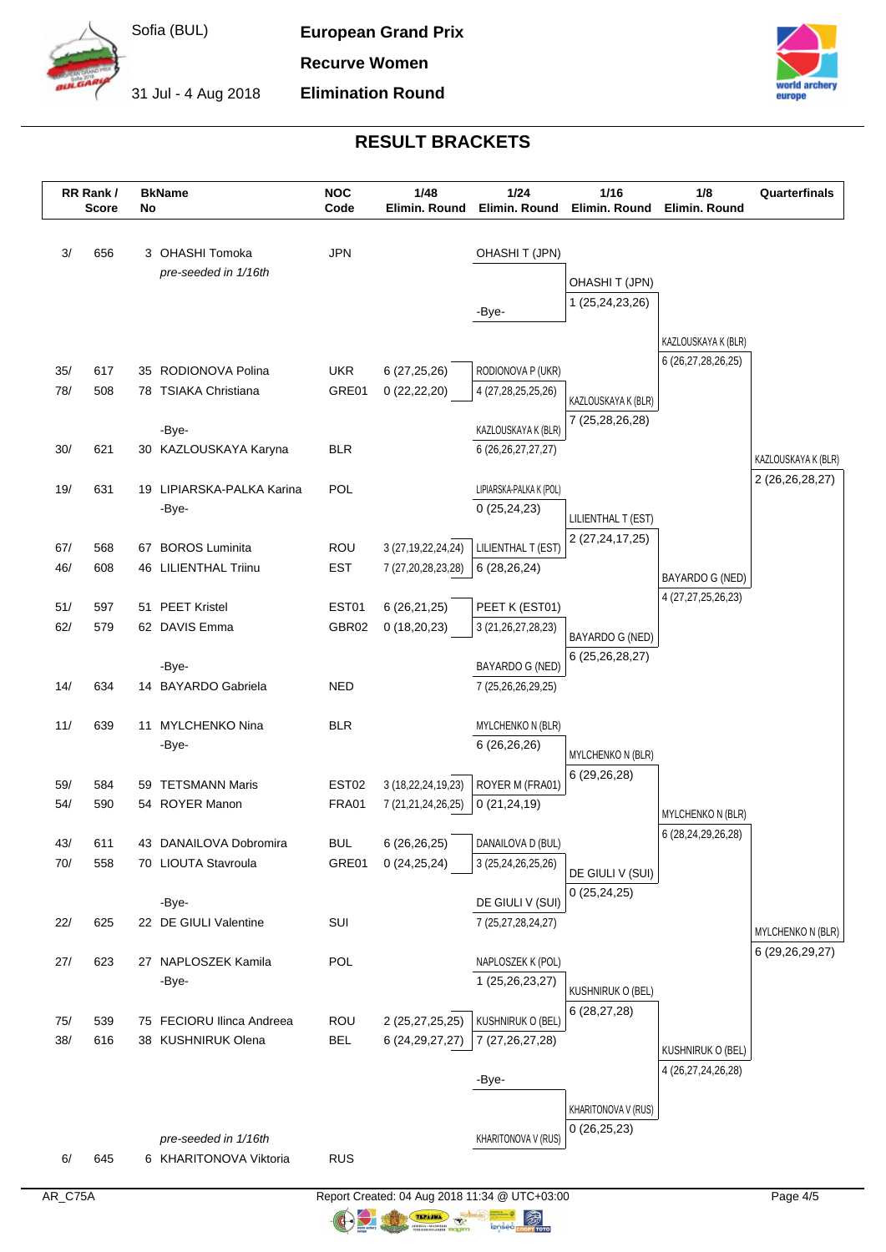

**European Grand Prix**

**Recurve Women Elimination Round**

31 Jul - 4 Aug 2018



### **RESULT BRACKETS**

|            | RR Rank/<br><b>Score</b> | No | <b>BkName</b>                                   | <b>NOC</b><br>Code         | 1/48<br>Elimin. Round                        | 1/24<br>Elimin. Round                         | $1/16$<br>Elimin. Round | 1/8<br>Elimin. Round     | Quarterfinals       |
|------------|--------------------------|----|-------------------------------------------------|----------------------------|----------------------------------------------|-----------------------------------------------|-------------------------|--------------------------|---------------------|
| 3/         | 656                      |    | 3 OHASHI Tomoka                                 | <b>JPN</b>                 |                                              | <b>OHASHIT (JPN)</b>                          |                         |                          |                     |
|            |                          |    | pre-seeded in 1/16th                            |                            |                                              |                                               | OHASHIT (JPN)           |                          |                     |
|            |                          |    |                                                 |                            |                                              |                                               | 1 (25,24,23,26)         |                          |                     |
|            |                          |    |                                                 |                            |                                              | -Bye-                                         |                         |                          |                     |
|            |                          |    |                                                 |                            |                                              |                                               |                         | KAZLOUSKAYA K (BLR)      |                     |
| 35/        | 617                      |    | 35 RODIONOVA Polina                             | <b>UKR</b>                 | 6 (27,25,26)                                 | RODIONOVA P (UKR)                             |                         | 6 (26,27,28,26,25)       |                     |
| 78/        | 508                      |    | 78 TSIAKA Christiana                            | GRE01                      | 0(22,22,20)                                  | 4 (27, 28, 25, 25, 26)                        | KAZLOUSKAYA K (BLR)     |                          |                     |
|            |                          |    |                                                 |                            |                                              |                                               | 7 (25,28,26,28)         |                          |                     |
| 30/        | 621                      |    | -Bye-<br>30 KAZLOUSKAYA Karyna                  | <b>BLR</b>                 |                                              | KAZLOUSKAYA K (BLR)<br>6 (26, 26, 27, 27, 27) |                         |                          |                     |
|            |                          |    |                                                 |                            |                                              |                                               |                         |                          | KAZLOUSKAYA K (BLR) |
| 19/        | 631                      |    | 19 LIPIARSKA-PALKA Karina                       | <b>POL</b>                 |                                              | LIPIARSKA-PALKA K (POL)                       |                         |                          | 2 (26,26,28,27)     |
|            |                          |    | -Bye-                                           |                            |                                              | 0(25, 24, 23)                                 | LILIENTHAL T (EST)      |                          |                     |
|            |                          |    |                                                 |                            |                                              |                                               | 2 (27, 24, 17, 25)      |                          |                     |
| 67/<br>46/ | 568<br>608               |    | 67 BOROS Luminita<br>46 LILIENTHAL Triinu       | <b>ROU</b><br><b>EST</b>   | 3 (27, 19, 22, 24, 24)<br>7 (27,20,28,23,28) | LILIENTHAL T (EST)<br>6 (28,26,24)            |                         |                          |                     |
|            |                          |    |                                                 |                            |                                              |                                               |                         | BAYARDO G (NED)          |                     |
| 51/        | 597                      | 51 | <b>PEET Kristel</b>                             | EST01                      | 6(26,21,25)                                  | PEET K (EST01)                                |                         | 4 (27,27,25,26,23)       |                     |
| 62/        | 579                      |    | 62 DAVIS Emma                                   | GBR02                      | 0(18,20,23)                                  | 3 (21, 26, 27, 28, 23)                        | BAYARDO G (NED)         |                          |                     |
|            |                          |    |                                                 |                            |                                              |                                               | 6 (25, 26, 28, 27)      |                          |                     |
| 14/        | 634                      |    | -Bye-<br>14 BAYARDO Gabriela                    | <b>NED</b>                 |                                              | BAYARDO G (NED)<br>7 (25,26,26,29,25)         |                         |                          |                     |
|            |                          |    |                                                 |                            |                                              |                                               |                         |                          |                     |
| 11/        | 639                      |    | 11 MYLCHENKO Nina                               | <b>BLR</b>                 |                                              | <b>MYLCHENKO N (BLR)</b>                      |                         |                          |                     |
|            |                          |    | -Bye-                                           |                            |                                              | 6 (26,26,26)                                  | MYLCHENKO N (BLR)       |                          |                     |
|            |                          |    |                                                 |                            |                                              |                                               | 6 (29,26,28)            |                          |                     |
| 59/<br>54/ | 584<br>590               | 59 | <b>TETSMANN Maris</b><br>54 ROYER Manon         | EST <sub>02</sub><br>FRA01 | 3 (18,22,24,19,23)<br>7 (21,21,24,26,25)     | ROYER M (FRA01)<br>0(21, 24, 19)              |                         |                          |                     |
|            |                          |    |                                                 |                            |                                              |                                               |                         | <b>MYLCHENKO N (BLR)</b> |                     |
| 43/        | 611                      |    | 43 DANAILOVA Dobromira                          | <b>BUL</b>                 | 6 (26,26,25)                                 | DANAILOVA D (BUL)                             |                         | 6 (28,24,29,26,28)       |                     |
| 70/        | 558                      |    | 70 LIOUTA Stavroula                             | GRE01                      | 0(24,25,24)                                  | 3 (25,24,26,25,26)                            | DE GIULI V (SUI)        |                          |                     |
|            |                          |    |                                                 |                            |                                              |                                               | 0(25, 24, 25)           |                          |                     |
| 22/        | 625                      |    | -Bye-<br>22 DE GIULI Valentine                  | SUI                        |                                              | DE GIULI V (SUI)<br>7 (25,27,28,24,27)        |                         |                          |                     |
|            |                          |    |                                                 |                            |                                              |                                               |                         |                          | MYLCHENKO N (BLR)   |
| 27/        | 623                      |    | 27 NAPLOSZEK Kamila                             | POL                        |                                              | NAPLOSZEK K (POL)                             |                         |                          | 6 (29, 26, 29, 27)  |
|            |                          |    | -Bye-                                           |                            |                                              | 1 (25,26,23,27)                               | KUSHNIRUK O (BEL)       |                          |                     |
|            |                          |    |                                                 |                            |                                              |                                               | 6(28, 27, 28)           |                          |                     |
| 75/<br>38/ | 539<br>616               |    | 75 FECIORU Ilinca Andreea<br>38 KUSHNIRUK Olena | ROU<br><b>BEL</b>          | 2 (25,27,25,25)                              | KUSHNIRUK O (BEL)                             |                         |                          |                     |
|            |                          |    |                                                 |                            | 6 (24, 29, 27, 27)                           | 7 (27,26,27,28)                               |                         | KUSHNIRUK O (BEL)        |                     |
|            |                          |    |                                                 |                            |                                              | -Bye-                                         |                         | 4 (26,27,24,26,28)       |                     |
|            |                          |    |                                                 |                            |                                              |                                               | KHARITONOVA V (RUS)     |                          |                     |
|            |                          |    |                                                 |                            |                                              |                                               | 0(26, 25, 23)           |                          |                     |
|            |                          |    | pre-seeded in 1/16th                            |                            |                                              | KHARITONOVA V (RUS)                           |                         |                          |                     |
| 6/         | 645                      |    | 6 KHARITONOVA Viktoria                          | <b>RUS</b>                 |                                              |                                               |                         |                          |                     |

 $\circledR$  nopy total